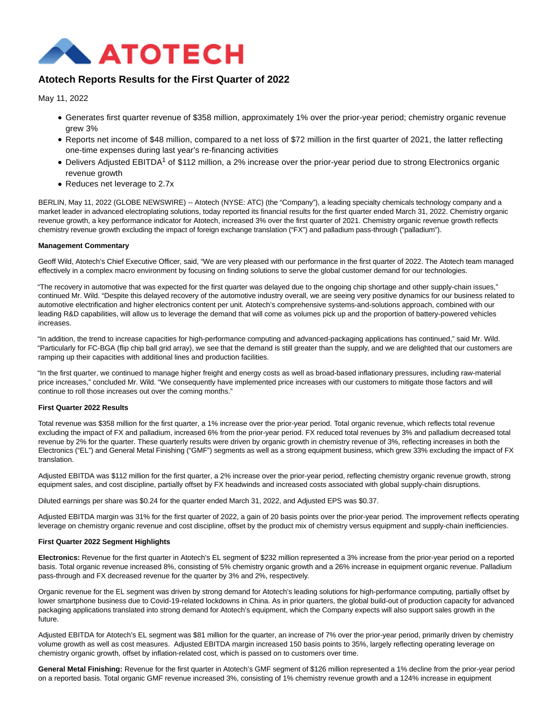

# **Atotech Reports Results for the First Quarter of 2022**

May 11, 2022

- Generates first quarter revenue of \$358 million, approximately 1% over the prior-year period; chemistry organic revenue grew 3%
- Reports net income of \$48 million, compared to a net loss of \$72 million in the first quarter of 2021, the latter reflecting one-time expenses during last year's re-financing activities
- Delivers Adjusted EBITDA<sup>1</sup> of \$112 million, a 2% increase over the prior-year period due to strong Electronics organic revenue growth
- Reduces net leverage to 2.7x

BERLIN, May 11, 2022 (GLOBE NEWSWIRE) -- Atotech (NYSE: ATC) (the "Company"), a leading specialty chemicals technology company and a market leader in advanced electroplating solutions, today reported its financial results for the first quarter ended March 31, 2022. Chemistry organic revenue growth, a key performance indicator for Atotech, increased 3% over the first quarter of 2021. Chemistry organic revenue growth reflects chemistry revenue growth excluding the impact of foreign exchange translation ("FX") and palladium pass-through ("palladium").

## **Management Commentary**

Geoff Wild, Atotech's Chief Executive Officer, said, "We are very pleased with our performance in the first quarter of 2022. The Atotech team managed effectively in a complex macro environment by focusing on finding solutions to serve the global customer demand for our technologies.

"The recovery in automotive that was expected for the first quarter was delayed due to the ongoing chip shortage and other supply-chain issues," continued Mr. Wild. "Despite this delayed recovery of the automotive industry overall, we are seeing very positive dynamics for our business related to automotive electrification and higher electronics content per unit. Atotech's comprehensive systems-and-solutions approach, combined with our leading R&D capabilities, will allow us to leverage the demand that will come as volumes pick up and the proportion of battery-powered vehicles increases.

"In addition, the trend to increase capacities for high-performance computing and advanced-packaging applications has continued," said Mr. Wild. "Particularly for FC-BGA (flip chip ball grid array), we see that the demand is still greater than the supply, and we are delighted that our customers are ramping up their capacities with additional lines and production facilities.

"In the first quarter, we continued to manage higher freight and energy costs as well as broad-based inflationary pressures, including raw-material price increases," concluded Mr. Wild. "We consequently have implemented price increases with our customers to mitigate those factors and will continue to roll those increases out over the coming months."

## **First Quarter 2022 Results**

Total revenue was \$358 million for the first quarter, a 1% increase over the prior-year period. Total organic revenue, which reflects total revenue excluding the impact of FX and palladium, increased 6% from the prior-year period. FX reduced total revenues by 3% and palladium decreased total revenue by 2% for the quarter. These quarterly results were driven by organic growth in chemistry revenue of 3%, reflecting increases in both the Electronics ("EL") and General Metal Finishing ("GMF") segments as well as a strong equipment business, which grew 33% excluding the impact of FX translation.

Adjusted EBITDA was \$112 million for the first quarter, a 2% increase over the prior-year period, reflecting chemistry organic revenue growth, strong equipment sales, and cost discipline, partially offset by FX headwinds and increased costs associated with global supply-chain disruptions.

Diluted earnings per share was \$0.24 for the quarter ended March 31, 2022, and Adjusted EPS was \$0.37.

Adjusted EBITDA margin was 31% for the first quarter of 2022, a gain of 20 basis points over the prior-year period. The improvement reflects operating leverage on chemistry organic revenue and cost discipline, offset by the product mix of chemistry versus equipment and supply-chain inefficiencies.

### **First Quarter 2022 Segment Highlights**

**Electronics:** Revenue for the first quarter in Atotech's EL segment of \$232 million represented a 3% increase from the prior-year period on a reported basis. Total organic revenue increased 8%, consisting of 5% chemistry organic growth and a 26% increase in equipment organic revenue. Palladium pass-through and FX decreased revenue for the quarter by 3% and 2%, respectively.

Organic revenue for the EL segment was driven by strong demand for Atotech's leading solutions for high-performance computing, partially offset by lower smartphone business due to Covid-19-related lockdowns in China. As in prior quarters, the global build-out of production capacity for advanced packaging applications translated into strong demand for Atotech's equipment, which the Company expects will also support sales growth in the future.

Adjusted EBITDA for Atotech's EL segment was \$81 million for the quarter, an increase of 7% over the prior-year period, primarily driven by chemistry volume growth as well as cost measures. Adjusted EBITDA margin increased 150 basis points to 35%, largely reflecting operating leverage on chemistry organic growth, offset by inflation-related cost, which is passed on to customers over time.

**General Metal Finishing:** Revenue for the first quarter in Atotech's GMF segment of \$126 million represented a 1% decline from the prior-year period on a reported basis. Total organic GMF revenue increased 3%, consisting of 1% chemistry revenue growth and a 124% increase in equipment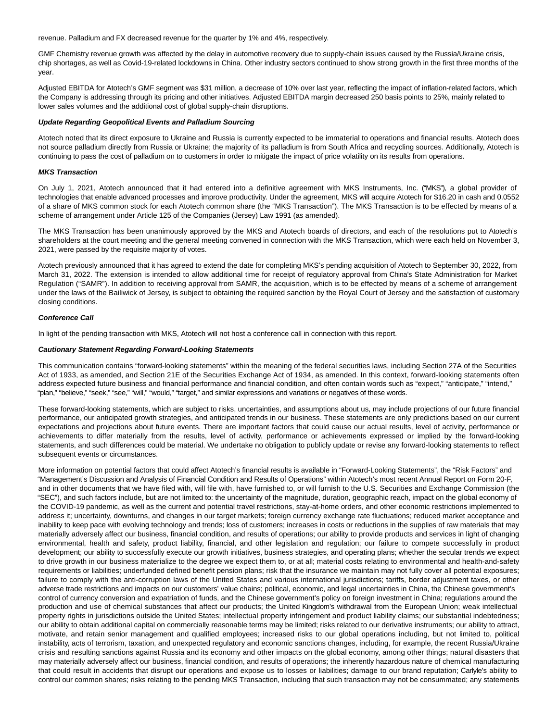revenue. Palladium and FX decreased revenue for the quarter by 1% and 4%, respectively.

GMF Chemistry revenue growth was affected by the delay in automotive recovery due to supply-chain issues caused by the Russia/Ukraine crisis, chip shortages, as well as Covid-19-related lockdowns in China. Other industry sectors continued to show strong growth in the first three months of the year.

Adjusted EBITDA for Atotech's GMF segment was \$31 million, a decrease of 10% over last year, reflecting the impact of inflation-related factors, which the Company is addressing through its pricing and other initiatives. Adjusted EBITDA margin decreased 250 basis points to 25%, mainly related to lower sales volumes and the additional cost of global supply-chain disruptions.

#### **Update Regarding Geopolitical Events and Palladium Sourcing**

Atotech noted that its direct exposure to Ukraine and Russia is currently expected to be immaterial to operations and financial results. Atotech does not source palladium directly from Russia or Ukraine; the majority of its palladium is from South Africa and recycling sources. Additionally, Atotech is continuing to pass the cost of palladium on to customers in order to mitigate the impact of price volatility on its results from operations.

### **MKS Transaction**

On July 1, 2021, Atotech announced that it had entered into a definitive agreement with MKS Instruments, Inc. ("MKS"), a global provider of technologies that enable advanced processes and improve productivity. Under the agreement, MKS will acquire Atotech for \$16.20 in cash and 0.0552 of a share of MKS common stock for each Atotech common share (the "MKS Transaction"). The MKS Transaction is to be effected by means of a scheme of arrangement under Article 125 of the Companies (Jersey) Law 1991 (as amended).

The MKS Transaction has been unanimously approved by the MKS and Atotech boards of directors, and each of the resolutions put to Atotech's shareholders at the court meeting and the general meeting convened in connection with the MKS Transaction, which were each held on November 3, 2021, were passed by the requisite majority of votes.

Atotech previously announced that it has agreed to extend the date for completing MKS's pending acquisition of Atotech to September 30, 2022, from March 31, 2022. The extension is intended to allow additional time for receipt of regulatory approval from China's State Administration for Market Regulation ("SAMR"). In addition to receiving approval from SAMR, the acquisition, which is to be effected by means of a scheme of arrangement under the laws of the Bailiwick of Jersey, is subject to obtaining the required sanction by the Royal Court of Jersey and the satisfaction of customary closing conditions.

#### **Conference Call**

In light of the pending transaction with MKS, Atotech will not host a conference call in connection with this report.

#### **Cautionary Statement Regarding Forward-Looking Statements**

This communication contains "forward-looking statements" within the meaning of the federal securities laws, including Section 27A of the Securities Act of 1933, as amended, and Section 21E of the Securities Exchange Act of 1934, as amended. In this context, forward-looking statements often address expected future business and financial performance and financial condition, and often contain words such as "expect," "anticipate," "intend," "plan," "believe," "seek," "see," "will," "would," "target," and similar expressions and variations or negatives of these words.

These forward-looking statements, which are subject to risks, uncertainties, and assumptions about us, may include projections of our future financial performance, our anticipated growth strategies, and anticipated trends in our business. These statements are only predictions based on our current expectations and projections about future events. There are important factors that could cause our actual results, level of activity, performance or achievements to differ materially from the results, level of activity, performance or achievements expressed or implied by the forward-looking statements, and such differences could be material. We undertake no obligation to publicly update or revise any forward-looking statements to reflect subsequent events or circumstances.

More information on potential factors that could affect Atotech's financial results is available in "Forward-Looking Statements", the "Risk Factors" and "Management's Discussion and Analysis of Financial Condition and Results of Operations" within Atotech's most recent Annual Report on Form 20-F, and in other documents that we have filed with, will file with, have furnished to, or will furnish to the U.S. Securities and Exchange Commission (the "SEC"), and such factors include, but are not limited to: the uncertainty of the magnitude, duration, geographic reach, impact on the global economy of the COVID-19 pandemic, as well as the current and potential travel restrictions, stay-at-home orders, and other economic restrictions implemented to address it; uncertainty, downturns, and changes in our target markets; foreign currency exchange rate fluctuations; reduced market acceptance and inability to keep pace with evolving technology and trends; loss of customers; increases in costs or reductions in the supplies of raw materials that may materially adversely affect our business, financial condition, and results of operations; our ability to provide products and services in light of changing environmental, health and safety, product liability, financial, and other legislation and regulation; our failure to compete successfully in product development; our ability to successfully execute our growth initiatives, business strategies, and operating plans; whether the secular trends we expect to drive growth in our business materialize to the degree we expect them to, or at all; material costs relating to environmental and health-and-safety requirements or liabilities; underfunded defined benefit pension plans; risk that the insurance we maintain may not fully cover all potential exposures; failure to comply with the anti-corruption laws of the United States and various international jurisdictions; tariffs, border adjustment taxes, or other adverse trade restrictions and impacts on our customers' value chains; political, economic, and legal uncertainties in China, the Chinese government's control of currency conversion and expatriation of funds, and the Chinese government's policy on foreign investment in China; regulations around the production and use of chemical substances that affect our products; the United Kingdom's withdrawal from the European Union; weak intellectual property rights in jurisdictions outside the United States; intellectual property infringement and product liability claims; our substantial indebtedness; our ability to obtain additional capital on commercially reasonable terms may be limited; risks related to our derivative instruments; our ability to attract, motivate, and retain senior management and qualified employees; increased risks to our global operations including, but not limited to, political instability, acts of terrorism, taxation, and unexpected regulatory and economic sanctions changes, including, for example, the recent Russia/Ukraine crisis and resulting sanctions against Russia and its economy and other impacts on the global economy, among other things; natural disasters that may materially adversely affect our business, financial condition, and results of operations; the inherently hazardous nature of chemical manufacturing that could result in accidents that disrupt our operations and expose us to losses or liabilities; damage to our brand reputation; Carlyle's ability to control our common shares; risks relating to the pending MKS Transaction, including that such transaction may not be consummated; any statements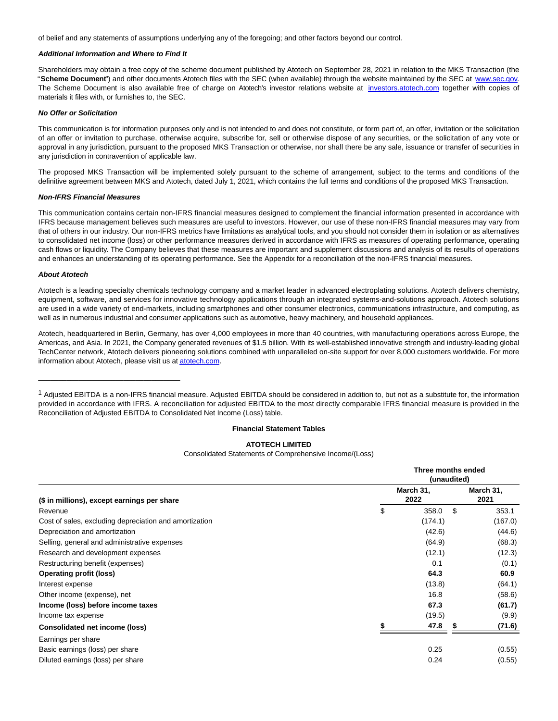of belief and any statements of assumptions underlying any of the foregoing; and other factors beyond our control.

## **Additional Information and Where to Find It**

Shareholders may obtain a free copy of the scheme document published by Atotech on September 28, 2021 in relation to the MKS Transaction (the "**Scheme Document**") and other documents Atotech files with the SEC (when available) through the website maintained by the SEC at [www.sec.gov.](https://www.globenewswire.com/Tracker?data=0wj9jFBfCOqkrPtDOrfVwDq55GOiJnyfEh5wrHA4vEy5gUdmi6V899dvnSZRI4pqrqxfEnlH48SHtPWuqVYlCQ==) The Scheme Document is also available free of charge on Atotech's investor relations website at [investors.atotech.com](https://www.globenewswire.com/Tracker?data=93Z0eACx6ZQ3vWOGUhVKxRjVo_1y3fc0NWxgqIwEf6EvDmEPFZpvf3mPoA6dgsy8mrEmyoS7x3r4HI6kJizKOAdvbixg4bG4mtX8EbT5fPA=) together with copies of materials it files with, or furnishes to, the SEC.

#### **No Offer or Solicitation**

This communication is for information purposes only and is not intended to and does not constitute, or form part of, an offer, invitation or the solicitation of an offer or invitation to purchase, otherwise acquire, subscribe for, sell or otherwise dispose of any securities, or the solicitation of any vote or approval in any jurisdiction, pursuant to the proposed MKS Transaction or otherwise, nor shall there be any sale, issuance or transfer of securities in any jurisdiction in contravention of applicable law.

The proposed MKS Transaction will be implemented solely pursuant to the scheme of arrangement, subject to the terms and conditions of the definitive agreement between MKS and Atotech, dated July 1, 2021, which contains the full terms and conditions of the proposed MKS Transaction.

#### **Non-IFRS Financial Measures**

\_\_\_\_\_\_\_\_\_\_\_\_\_\_\_\_\_\_\_\_\_\_\_\_\_\_\_\_\_\_\_\_\_\_\_

This communication contains certain non-IFRS financial measures designed to complement the financial information presented in accordance with IFRS because management believes such measures are useful to investors. However, our use of these non-IFRS financial measures may vary from that of others in our industry. Our non-IFRS metrics have limitations as analytical tools, and you should not consider them in isolation or as alternatives to consolidated net income (loss) or other performance measures derived in accordance with IFRS as measures of operating performance, operating cash flows or liquidity. The Company believes that these measures are important and supplement discussions and analysis of its results of operations and enhances an understanding of its operating performance. See the Appendix for a reconciliation of the non-IFRS financial measures.

## **About Atotech**

Atotech is a leading specialty chemicals technology company and a market leader in advanced electroplating solutions. Atotech delivers chemistry, equipment, software, and services for innovative technology applications through an integrated systems-and-solutions approach. Atotech solutions are used in a wide variety of end-markets, including smartphones and other consumer electronics, communications infrastructure, and computing, as well as in numerous industrial and consumer applications such as automotive, heavy machinery, and household appliances.

Atotech, headquartered in Berlin, Germany, has over 4,000 employees in more than 40 countries, with manufacturing operations across Europe, the Americas, and Asia. In 2021, the Company generated revenues of \$1.5 billion. With its well-established innovative strength and industry-leading global TechCenter network, Atotech delivers pioneering solutions combined with unparalleled on-site support for over 8,000 customers worldwide. For more information about Atotech, please visit us a[t atotech.com.](https://www.globenewswire.com/Tracker?data=3OHOTFF7pK0buopyaH66OE-3AtTAxr6jK2YW9vyCcMSrRcNQSW2u0mXsWNp5gRjpioXf41nn-iiiKT8LKVjEkw==)

 $1$  Adjusted EBITDA is a non-IFRS financial measure. Adjusted EBITDA should be considered in addition to, but not as a substitute for, the information provided in accordance with IFRS. A reconciliation for adjusted EBITDA to the most directly comparable IFRS financial measure is provided in the Reconciliation of Adjusted EBITDA to Consolidated Net Income (Loss) table.

### **Financial Statement Tables**

#### **ATOTECH LIMITED**

Consolidated Statements of Comprehensive Income/(Loss)

|                                                        | Three months ended<br>(unaudited) |    |                   |  |  |
|--------------------------------------------------------|-----------------------------------|----|-------------------|--|--|
| (\$ in millions), except earnings per share            | March 31,<br>2022                 |    | March 31,<br>2021 |  |  |
| Revenue                                                | \$<br>358.0                       | \$ | 353.1             |  |  |
| Cost of sales, excluding depreciation and amortization | (174.1)                           |    | (167.0)           |  |  |
| Depreciation and amortization                          | (42.6)                            |    | (44.6)            |  |  |
| Selling, general and administrative expenses           | (64.9)                            |    | (68.3)            |  |  |
| Research and development expenses                      | (12.1)                            |    | (12.3)            |  |  |
| Restructuring benefit (expenses)                       | 0.1                               |    | (0.1)             |  |  |
| <b>Operating profit (loss)</b>                         | 64.3                              |    | 60.9              |  |  |
| Interest expense                                       | (13.8)                            |    | (64.1)            |  |  |
| Other income (expense), net                            | 16.8                              |    | (58.6)            |  |  |
| Income (loss) before income taxes                      | 67.3                              |    | (61.7)            |  |  |
| Income tax expense                                     | (19.5)                            |    | (9.9)             |  |  |
| <b>Consolidated net income (loss)</b>                  | 47.8                              |    | (71.6)            |  |  |
| Earnings per share                                     |                                   |    |                   |  |  |
| Basic earnings (loss) per share                        | 0.25                              |    | (0.55)            |  |  |
| Diluted earnings (loss) per share                      | 0.24                              |    | (0.55)            |  |  |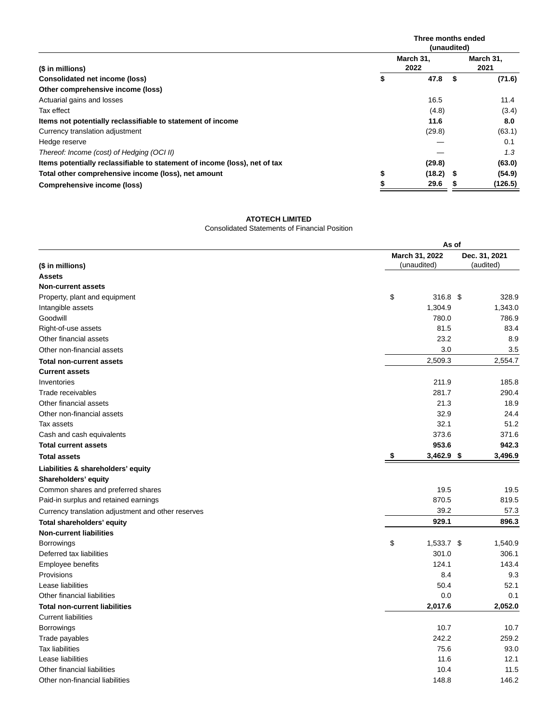|                                                                            | Three months ended<br>(unaudited) |   |                   |  |
|----------------------------------------------------------------------------|-----------------------------------|---|-------------------|--|
| (\$ in millions)                                                           | March 31,<br>2022                 |   | March 31,<br>2021 |  |
| Consolidated net income (loss)                                             | \$<br>47.8                        | S | (71.6)            |  |
| Other comprehensive income (loss)                                          |                                   |   |                   |  |
| Actuarial gains and losses                                                 | 16.5                              |   | 11.4              |  |
| Tax effect                                                                 | (4.8)                             |   | (3.4)             |  |
| Items not potentially reclassifiable to statement of income                | 11.6                              |   | 8.0               |  |
| Currency translation adjustment                                            | (29.8)                            |   | (63.1)            |  |
| Hedge reserve                                                              |                                   |   | 0.1               |  |
| Thereof: Income (cost) of Hedging (OCI II)                                 |                                   |   | 1.3               |  |
| Items potentially reclassifiable to statement of income (loss), net of tax | (29.8)                            |   | (63.0)            |  |
| Total other comprehensive income (loss), net amount                        | \$<br>$(18.2)$ \$                 |   | (54.9)            |  |
| Comprehensive income (loss)                                                | 29.6                              |   | (126.5)           |  |

#### **ATOTECH LIMITED**

Consolidated Statements of Financial Position

|                                                    |                | As of        |               |  |  |  |
|----------------------------------------------------|----------------|--------------|---------------|--|--|--|
|                                                    | March 31, 2022 |              | Dec. 31, 2021 |  |  |  |
| (\$ in millions)                                   | (unaudited)    |              | (audited)     |  |  |  |
| <b>Assets</b>                                      |                |              |               |  |  |  |
| <b>Non-current assets</b>                          |                |              |               |  |  |  |
| Property, plant and equipment                      | \$             | 316.8 \$     | 328.9         |  |  |  |
| Intangible assets                                  |                | 1,304.9      | 1,343.0       |  |  |  |
| Goodwill                                           |                | 780.0        | 786.9         |  |  |  |
| Right-of-use assets                                |                | 81.5         | 83.4          |  |  |  |
| Other financial assets                             |                | 23.2         | 8.9           |  |  |  |
| Other non-financial assets                         |                | 3.0          | 3.5           |  |  |  |
| <b>Total non-current assets</b>                    |                | 2,509.3      | 2,554.7       |  |  |  |
| <b>Current assets</b>                              |                |              |               |  |  |  |
| Inventories                                        |                | 211.9        | 185.8         |  |  |  |
| Trade receivables                                  |                | 281.7        | 290.4         |  |  |  |
| Other financial assets                             |                | 21.3         | 18.9          |  |  |  |
| Other non-financial assets                         |                | 32.9         | 24.4          |  |  |  |
| Tax assets                                         |                | 32.1         | 51.2          |  |  |  |
| Cash and cash equivalents                          |                | 373.6        | 371.6         |  |  |  |
| <b>Total current assets</b>                        |                | 953.6        | 942.3         |  |  |  |
| <b>Total assets</b>                                | \$             | 3,462.9 \$   | 3,496.9       |  |  |  |
| Liabilities & shareholders' equity                 |                |              |               |  |  |  |
| Shareholders' equity                               |                |              |               |  |  |  |
| Common shares and preferred shares                 |                | 19.5         | 19.5          |  |  |  |
| Paid-in surplus and retained earnings              |                | 870.5        | 819.5         |  |  |  |
| Currency translation adjustment and other reserves |                | 39.2         | 57.3          |  |  |  |
| Total shareholders' equity                         |                | 929.1        | 896.3         |  |  |  |
| <b>Non-current liabilities</b>                     |                |              |               |  |  |  |
| Borrowings                                         | \$             | $1,533.7$ \$ | 1,540.9       |  |  |  |
| Deferred tax liabilities                           |                | 301.0        | 306.1         |  |  |  |
| Employee benefits                                  |                | 124.1        | 143.4         |  |  |  |
| Provisions                                         |                | 8.4          | 9.3           |  |  |  |
| Lease liabilities                                  |                | 50.4         | 52.1          |  |  |  |
| Other financial liabilities                        |                | 0.0          | 0.1           |  |  |  |
| <b>Total non-current liabilities</b>               |                | 2,017.6      | 2,052.0       |  |  |  |
| <b>Current liabilities</b>                         |                |              |               |  |  |  |
| <b>Borrowings</b>                                  |                | 10.7         | 10.7          |  |  |  |
| Trade payables                                     |                | 242.2        | 259.2         |  |  |  |
| <b>Tax liabilities</b>                             |                | 75.6         | 93.0          |  |  |  |
| Lease liabilities                                  |                | 11.6         | 12.1          |  |  |  |
| Other financial liabilities                        |                | 10.4         | 11.5          |  |  |  |
| Other non-financial liabilities                    |                | 148.8        | 146.2         |  |  |  |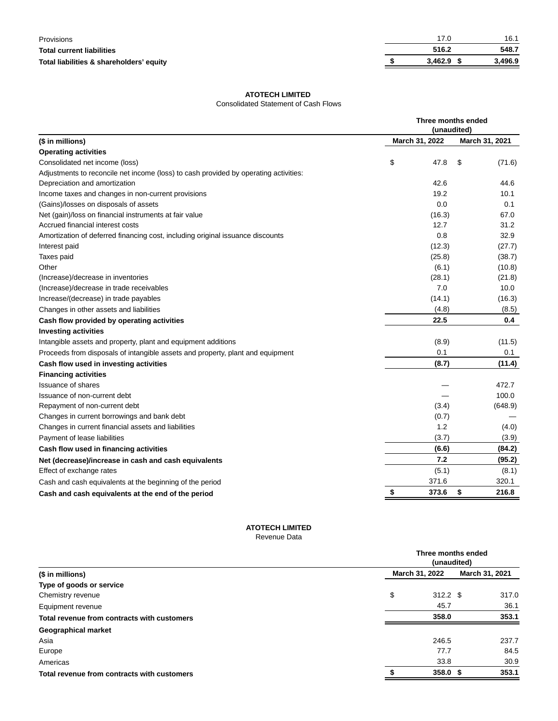| Provisions                               |              | 16.1    |
|------------------------------------------|--------------|---------|
| Total current liabilities                | 516.2        | 548.7   |
| Total liabilities & shareholders' equity | $3.462.9$ \$ | 3,496.9 |

# **ATOTECH LIMITED**

# Consolidated Statement of Cash Flows

|                                                                                      |                | Three months ended<br>(unaudited) |                |  |  |
|--------------------------------------------------------------------------------------|----------------|-----------------------------------|----------------|--|--|
| (\$ in millions)                                                                     | March 31, 2022 |                                   | March 31, 2021 |  |  |
| <b>Operating activities</b>                                                          |                |                                   |                |  |  |
| Consolidated net income (loss)                                                       | \$             | 47.8                              | \$<br>(71.6)   |  |  |
| Adjustments to reconcile net income (loss) to cash provided by operating activities: |                |                                   |                |  |  |
| Depreciation and amortization                                                        |                | 42.6                              | 44.6           |  |  |
| Income taxes and changes in non-current provisions                                   |                | 19.2                              | 10.1           |  |  |
| (Gains)/losses on disposals of assets                                                |                | 0.0                               | 0.1            |  |  |
| Net (gain)/loss on financial instruments at fair value                               |                | (16.3)                            | 67.0           |  |  |
| Accrued financial interest costs                                                     |                | 12.7                              | 31.2           |  |  |
| Amortization of deferred financing cost, including original issuance discounts       |                | 0.8                               | 32.9           |  |  |
| Interest paid                                                                        |                | (12.3)                            | (27.7)         |  |  |
| Taxes paid                                                                           |                | (25.8)                            | (38.7)         |  |  |
| Other                                                                                |                | (6.1)                             | (10.8)         |  |  |
| (Increase)/decrease in inventories                                                   |                | (28.1)                            | (21.8)         |  |  |
| (Increase)/decrease in trade receivables                                             |                | 7.0                               | 10.0           |  |  |
| Increase/(decrease) in trade payables                                                |                | (14.1)                            | (16.3)         |  |  |
| Changes in other assets and liabilities                                              |                | (4.8)                             | (8.5)          |  |  |
| Cash flow provided by operating activities                                           |                | 22.5                              | 0.4            |  |  |
| <b>Investing activities</b>                                                          |                |                                   |                |  |  |
| Intangible assets and property, plant and equipment additions                        |                | (8.9)                             | (11.5)         |  |  |
| Proceeds from disposals of intangible assets and property, plant and equipment       |                | 0.1                               | 0.1            |  |  |
| Cash flow used in investing activities                                               |                | (8.7)                             | (11.4)         |  |  |
| <b>Financing activities</b>                                                          |                |                                   |                |  |  |
| <b>Issuance of shares</b>                                                            |                |                                   | 472.7          |  |  |
| Issuance of non-current debt                                                         |                |                                   | 100.0          |  |  |
| Repayment of non-current debt                                                        |                | (3.4)                             | (648.9)        |  |  |
| Changes in current borrowings and bank debt                                          |                | (0.7)                             |                |  |  |
| Changes in current financial assets and liabilities                                  |                | 1.2                               | (4.0)          |  |  |
| Payment of lease liabilities                                                         |                | (3.7)                             | (3.9)          |  |  |
| Cash flow used in financing activities                                               |                | (6.6)                             | (84.2)         |  |  |
| Net (decrease)/increase in cash and cash equivalents                                 |                | 7.2                               | (95.2)         |  |  |
| Effect of exchange rates                                                             |                | (5.1)                             | (8.1)          |  |  |
| Cash and cash equivalents at the beginning of the period                             |                | 371.6                             | 320.1          |  |  |
| Cash and cash equivalents at the end of the period                                   | \$             | 373.6                             | \$<br>216.8    |  |  |

# **ATOTECH LIMITED**

Revenue Data

|                                             | Three months ended<br>(unaudited) |                |       |  |
|---------------------------------------------|-----------------------------------|----------------|-------|--|
| (\$ in millions)                            | March 31, 2022                    | March 31, 2021 |       |  |
| Type of goods or service                    |                                   |                |       |  |
| Chemistry revenue                           | \$<br>$312.2$ \$                  |                | 317.0 |  |
| Equipment revenue                           | 45.7                              |                | 36.1  |  |
| Total revenue from contracts with customers | 358.0                             |                | 353.1 |  |
| Geographical market                         |                                   |                |       |  |
| Asia                                        | 246.5                             |                | 237.7 |  |
| Europe                                      | 77.7                              |                | 84.5  |  |
| Americas                                    | 33.8                              |                | 30.9  |  |
| Total revenue from contracts with customers | 358.0 <sup>5</sup>                |                | 353.1 |  |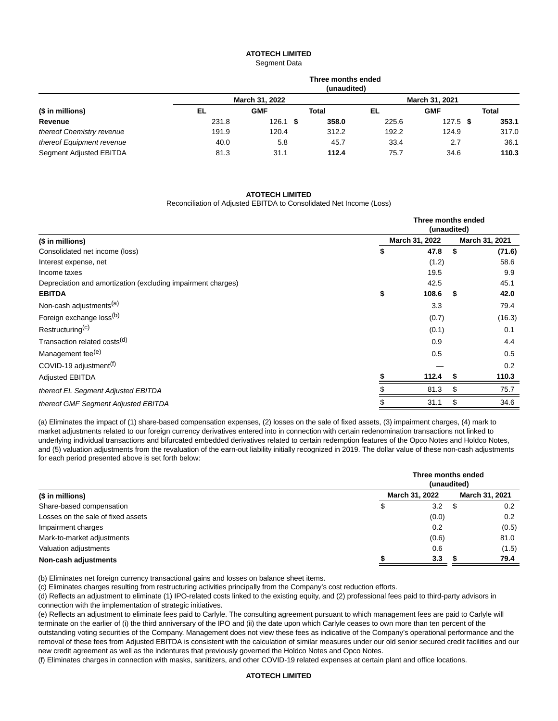#### **ATOTECH LIMITED** Segment Data

| (\$ in millions)          |       |                | Three months ended<br>(unaudited) |                |            |       |
|---------------------------|-------|----------------|-----------------------------------|----------------|------------|-------|
|                           |       | March 31, 2022 |                                   | March 31, 2021 |            |       |
|                           | EL    | <b>GMF</b>     | Total                             | EL             | <b>GMF</b> | Total |
| Revenue                   | 231.8 | $126.1$ \$     | 358.0                             | 225.6          | $127.5$ \$ | 353.1 |
| thereof Chemistry revenue | 191.9 | 120.4          | 312.2                             | 192.2          | 124.9      | 317.0 |
| thereof Equipment revenue | 40.0  | 5.8            | 45.7                              | 33.4           | 2.7        | 36.1  |
| Segment Adjusted EBITDA   | 81.3  | 31.1           | 112.4                             | 75.7           | 34.6       | 110.3 |

#### **ATOTECH LIMITED**

#### Reconciliation of Adjusted EBITDA to Consolidated Net Income (Loss)

|                                                              |    | Three months ended<br>(unaudited) |      |                |  |
|--------------------------------------------------------------|----|-----------------------------------|------|----------------|--|
| (\$ in millions)                                             |    | March 31, 2022                    |      | March 31, 2021 |  |
| Consolidated net income (loss)                               | S  | 47.8                              | - \$ | (71.6)         |  |
| Interest expense, net                                        |    | (1.2)                             |      | 58.6           |  |
| Income taxes                                                 |    | 19.5                              |      | 9.9            |  |
| Depreciation and amortization (excluding impairment charges) |    | 42.5                              |      | 45.1           |  |
| <b>EBITDA</b>                                                | \$ | 108.6                             | S    | 42.0           |  |
| Non-cash adjustments <sup>(a)</sup>                          |    | 3.3                               |      | 79.4           |  |
| Foreign exchange loss(b)                                     |    | (0.7)                             |      | (16.3)         |  |
| Restructuring <sup>(c)</sup>                                 |    | (0.1)                             |      | 0.1            |  |
| Transaction related costs <sup>(d)</sup>                     |    | 0.9                               |      | 4.4            |  |
| Management fee <sup>(e)</sup>                                |    | 0.5                               |      | 0.5            |  |
| COVID-19 adjustment <sup>(f)</sup>                           |    |                                   |      | 0.2            |  |
| <b>Adjusted EBITDA</b>                                       |    | 112.4                             | S    | 110.3          |  |
| thereof EL Segment Adjusted EBITDA                           |    | 81.3                              | \$   | 75.7           |  |
| thereof GMF Segment Adjusted EBITDA                          |    | 31.1                              | \$   | 34.6           |  |

(a) Eliminates the impact of (1) share-based compensation expenses, (2) losses on the sale of fixed assets, (3) impairment charges, (4) mark to market adjustments related to our foreign currency derivatives entered into in connection with certain redenomination transactions not linked to underlying individual transactions and bifurcated embedded derivatives related to certain redemption features of the Opco Notes and Holdco Notes, and (5) valuation adjustments from the revaluation of the earn-out liability initially recognized in 2019. The dollar value of these non-cash adjustments for each period presented above is set forth below:

|                                    |   | Three months ended<br>(unaudited) |    |                |  |
|------------------------------------|---|-----------------------------------|----|----------------|--|
| (\$ in millions)                   |   | March 31, 2022                    |    | March 31, 2021 |  |
| Share-based compensation           | จ | 3.2                               | \$ | 0.2            |  |
| Losses on the sale of fixed assets |   | (0.0)                             |    | 0.2            |  |
| Impairment charges                 |   | 0.2                               |    | (0.5)          |  |
| Mark-to-market adjustments         |   | (0.6)                             |    | 81.0           |  |
| Valuation adjustments              |   | 0.6                               |    | (1.5)          |  |
| Non-cash adjustments               |   | 3.3                               |    | 79.4           |  |

(b) Eliminates net foreign currency transactional gains and losses on balance sheet items.

(c) Eliminates charges resulting from restructuring activities principally from the Company's cost reduction efforts.

(d) Reflects an adjustment to eliminate (1) IPO-related costs linked to the existing equity, and (2) professional fees paid to third-party advisors in connection with the implementation of strategic initiatives.

(e) Reflects an adjustment to eliminate fees paid to Carlyle. The consulting agreement pursuant to which management fees are paid to Carlyle will terminate on the earlier of (i) the third anniversary of the IPO and (ii) the date upon which Carlyle ceases to own more than ten percent of the outstanding voting securities of the Company. Management does not view these fees as indicative of the Company's operational performance and the removal of these fees from Adjusted EBITDA is consistent with the calculation of similar measures under our old senior secured credit facilities and our new credit agreement as well as the indentures that previously governed the Holdco Notes and Opco Notes.

(f) Eliminates charges in connection with masks, sanitizers, and other COVID-19 related expenses at certain plant and office locations.

# **ATOTECH LIMITED**